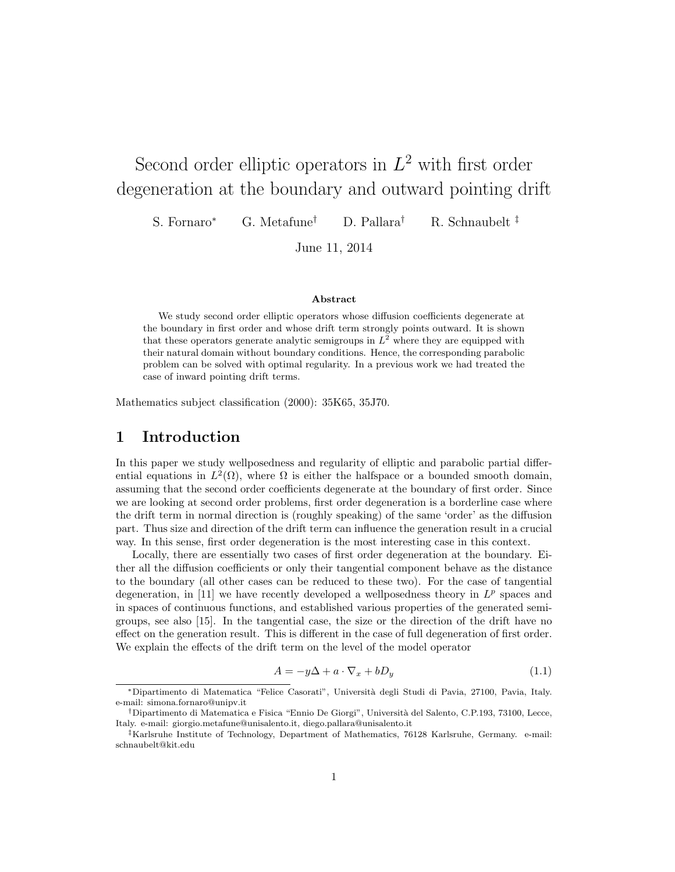# Second order elliptic operators in  $L^2$  with first order degeneration at the boundary and outward pointing drift

S. Fornaro<sup>∗</sup> G. Metafune† D. Pallara† R. Schnaubelt ‡

June 11, 2014

#### Abstract

We study second order elliptic operators whose diffusion coefficients degenerate at the boundary in first order and whose drift term strongly points outward. It is shown that these operators generate analytic semigroups in  $L^2$  where they are equipped with their natural domain without boundary conditions. Hence, the corresponding parabolic problem can be solved with optimal regularity. In a previous work we had treated the case of inward pointing drift terms.

Mathematics subject classification (2000): 35K65, 35J70.

# 1 Introduction

In this paper we study wellposedness and regularity of elliptic and parabolic partial differential equations in  $L^2(\Omega)$ , where  $\Omega$  is either the halfspace or a bounded smooth domain, assuming that the second order coefficients degenerate at the boundary of first order. Since we are looking at second order problems, first order degeneration is a borderline case where the drift term in normal direction is (roughly speaking) of the same 'order' as the diffusion part. Thus size and direction of the drift term can influence the generation result in a crucial way. In this sense, first order degeneration is the most interesting case in this context.

Locally, there are essentially two cases of first order degeneration at the boundary. Either all the diffusion coefficients or only their tangential component behave as the distance to the boundary (all other cases can be reduced to these two). For the case of tangential degeneration, in [11] we have recently developed a wellposedness theory in  $L^p$  spaces and in spaces of continuous functions, and established various properties of the generated semigroups, see also [15]. In the tangential case, the size or the direction of the drift have no effect on the generation result. This is different in the case of full degeneration of first order. We explain the effects of the drift term on the level of the model operator

$$
A = -y\Delta + a \cdot \nabla_x + bD_y \tag{1.1}
$$

<sup>∗</sup>Dipartimento di Matematica "Felice Casorati", Universit`a degli Studi di Pavia, 27100, Pavia, Italy. e-mail: simona.fornaro@unipv.it

<sup>†</sup>Dipartimento di Matematica e Fisica "Ennio De Giorgi", Universit`a del Salento, C.P.193, 73100, Lecce, Italy. e-mail: giorgio.metafune@unisalento.it, diego.pallara@unisalento.it

<sup>‡</sup>Karlsruhe Institute of Technology, Department of Mathematics, 76128 Karlsruhe, Germany. e-mail: schnaubelt@kit.edu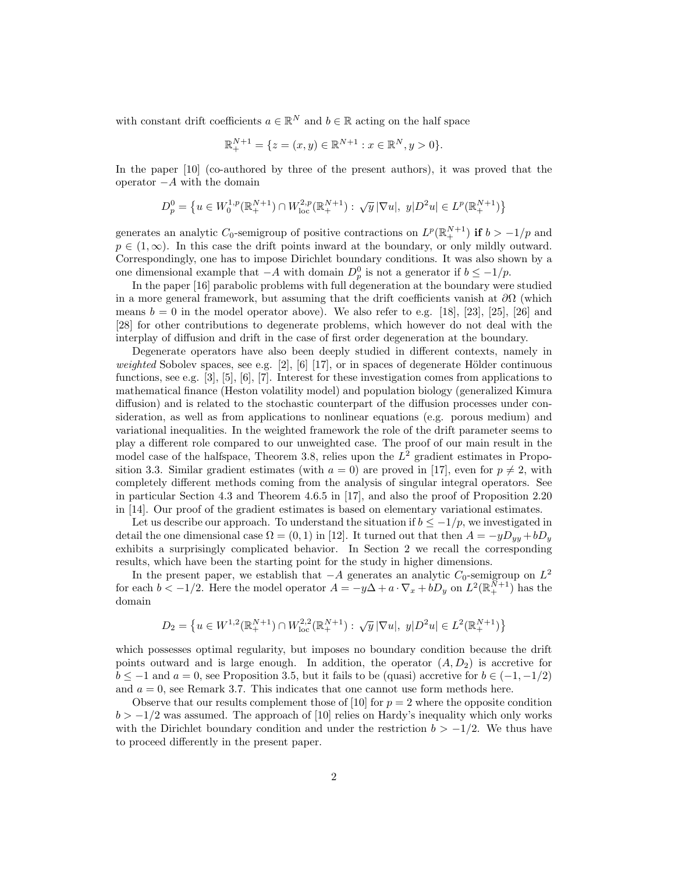with constant drift coefficients  $a \in \mathbb{R}^N$  and  $b \in \mathbb{R}$  acting on the half space

$$
\mathbb{R}_+^{N+1} = \{ z = (x, y) \in \mathbb{R}^{N+1} : x \in \mathbb{R}^N, y > 0 \}.
$$

In the paper [10] (co-authored by three of the present authors), it was proved that the operator  $-A$  with the domain

$$
D_p^0 = \left\{ u \in W_0^{1,p}(\mathbb{R}_+^{N+1}) \cap W_{\text{loc}}^{2,p}(\mathbb{R}_+^{N+1}) : \sqrt{y} |\nabla u|, y|D^2u \right\} \in L^p(\mathbb{R}_+^{N+1}) \right\}
$$

generates an analytic  $C_0$ -semigroup of positive contractions on  $L^p(\mathbb{R}^{N+1}_+)$  if  $b > -1/p$  and  $p \in (1,\infty)$ . In this case the drift points inward at the boundary, or only mildly outward. Correspondingly, one has to impose Dirichlet boundary conditions. It was also shown by a one dimensional example that  $-A$  with domain  $D_p^0$  is not a generator if  $b \leq -1/p$ .

In the paper [16] parabolic problems with full degeneration at the boundary were studied in a more general framework, but assuming that the drift coefficients vanish at  $\partial\Omega$  (which means  $b = 0$  in the model operator above). We also refer to e.g. [18], [23], [25], [26] and [28] for other contributions to degenerate problems, which however do not deal with the interplay of diffusion and drift in the case of first order degeneration at the boundary.

Degenerate operators have also been deeply studied in different contexts, namely in weighted Sobolev spaces, see e.g. [2], [6] [17], or in spaces of degenerate Hölder continuous functions, see e.g. [3], [5], [6], [7]. Interest for these investigation comes from applications to mathematical finance (Heston volatility model) and population biology (generalized Kimura diffusion) and is related to the stochastic counterpart of the diffusion processes under consideration, as well as from applications to nonlinear equations (e.g. porous medium) and variational inequalities. In the weighted framework the role of the drift parameter seems to play a different role compared to our unweighted case. The proof of our main result in the model case of the halfspace, Theorem 3.8, relies upon the  $L^2$  gradient estimates in Proposition 3.3. Similar gradient estimates (with  $a = 0$ ) are proved in [17], even for  $p \neq 2$ , with completely different methods coming from the analysis of singular integral operators. See in particular Section 4.3 and Theorem 4.6.5 in [17], and also the proof of Proposition 2.20 in [14]. Our proof of the gradient estimates is based on elementary variational estimates.

Let us describe our approach. To understand the situation if  $b \leq -1/p$ , we investigated in detail the one dimensional case  $\Omega = (0, 1)$  in [12]. It turned out that then  $A = -yD_{yy} + bD_y$ exhibits a surprisingly complicated behavior. In Section 2 we recall the corresponding results, which have been the starting point for the study in higher dimensions.

In the present paper, we establish that  $-A$  generates an analytic  $C_0$ -semigroup on  $L^2$ for each  $b < -1/2$ . Here the model operator  $A = -y\Delta + a \cdot \nabla_x + bD_y$  on  $L^2(\mathbb{R}^{N+1}_+)$  has the domain

$$
D_2 = \left\{ u \in W^{1,2}(\mathbb{R}_+^{N+1}) \cap W^{2,2}_{\text{loc}}(\mathbb{R}_+^{N+1}) : \sqrt{y} |\nabla u|, y|D^2 u \right\} \in L^2(\mathbb{R}_+^{N+1}) \right\}
$$

which possesses optimal regularity, but imposes no boundary condition because the drift points outward and is large enough. In addition, the operator  $(A, D_2)$  is accretive for  $b \le -1$  and  $a = 0$ , see Proposition 3.5, but it fails to be (quasi) accretive for  $b \in (-1, -1/2)$ and  $a = 0$ , see Remark 3.7. This indicates that one cannot use form methods here.

Observe that our results complement those of [10] for  $p = 2$  where the opposite condition  $b > -1/2$  was assumed. The approach of [10] relies on Hardy's inequality which only works with the Dirichlet boundary condition and under the restriction  $b > -1/2$ . We thus have to proceed differently in the present paper.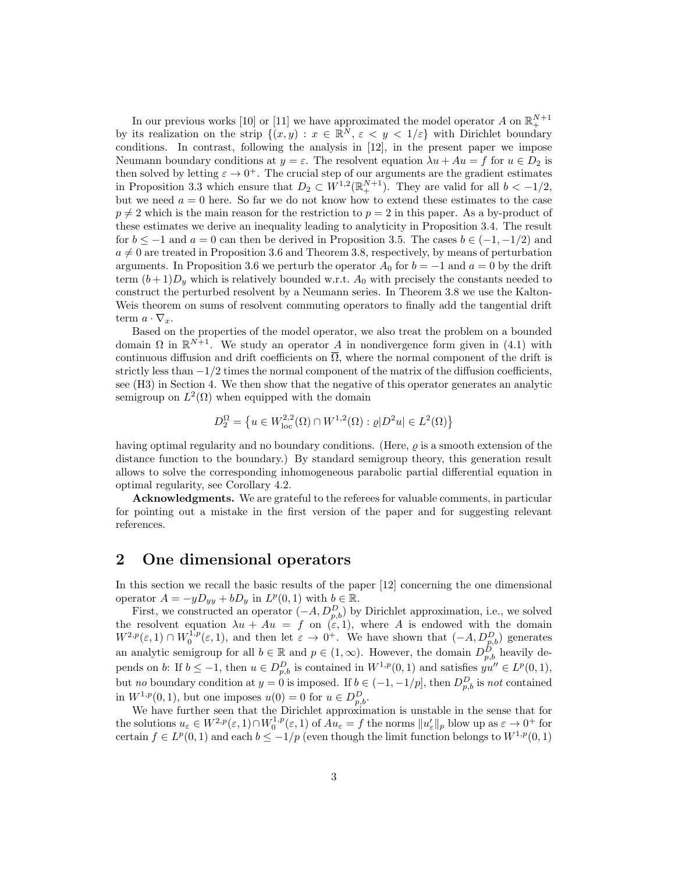In our previous works [10] or [11] we have approximated the model operator  $A$  on  $\mathbb{R}^{N+1}_+$ by its realization on the strip  $\{(x, y) : x \in \mathbb{R}^N, \varepsilon \leq y \leq 1/\varepsilon\}$  with Dirichlet boundary conditions. In contrast, following the analysis in [12], in the present paper we impose Neumann boundary conditions at  $y = \varepsilon$ . The resolvent equation  $\lambda u + Au = f$  for  $u \in D_2$  is then solved by letting  $\varepsilon \to 0^+$ . The crucial step of our arguments are the gradient estimates in Proposition 3.3 which ensure that  $D_2 \subset W^{1,2}(\mathbb{R}^{N+1}_+)$ . They are valid for all  $b < -1/2$ , but we need  $a = 0$  here. So far we do not know how to extend these estimates to the case  $p \neq 2$  which is the main reason for the restriction to  $p = 2$  in this paper. As a by-product of these estimates we derive an inequality leading to analyticity in Proposition 3.4. The result for  $b \le -1$  and  $a = 0$  can then be derived in Proposition 3.5. The cases  $b \in (-1, -1/2)$  and  $a \neq 0$  are treated in Proposition 3.6 and Theorem 3.8, respectively, by means of perturbation arguments. In Proposition 3.6 we perturb the operator  $A_0$  for  $b = -1$  and  $a = 0$  by the drift term  $(b+1)D<sub>y</sub>$  which is relatively bounded w.r.t.  $A<sub>0</sub>$  with precisely the constants needed to construct the perturbed resolvent by a Neumann series. In Theorem 3.8 we use the Kalton-Weis theorem on sums of resolvent commuting operators to finally add the tangential drift term  $a \cdot \nabla_x$ .

Based on the properties of the model operator, we also treat the problem on a bounded domain  $\Omega$  in  $\mathbb{R}^{N+1}$ . We study an operator A in nondivergence form given in (4.1) with continuous diffusion and drift coefficients on  $\overline{\Omega}$ , where the normal component of the drift is strictly less than  $-1/2$  times the normal component of the matrix of the diffusion coefficients, see (H3) in Section 4. We then show that the negative of this operator generates an analytic semigroup on  $L^2(\Omega)$  when equipped with the domain

$$
D_2^{\Omega} = \left\{ u \in W^{2,2}_{loc}(\Omega) \cap W^{1,2}(\Omega) : \varrho | D^2 u | \in L^2(\Omega) \right\}
$$

having optimal regularity and no boundary conditions. (Here,  $\rho$  is a smooth extension of the distance function to the boundary.) By standard semigroup theory, this generation result allows to solve the corresponding inhomogeneous parabolic partial differential equation in optimal regularity, see Corollary 4.2.

Acknowledgments. We are grateful to the referees for valuable comments, in particular for pointing out a mistake in the first version of the paper and for suggesting relevant references.

# 2 One dimensional operators

In this section we recall the basic results of the paper [12] concerning the one dimensional operator  $A = -yD_{yy} + bD_y$  in  $L^p(0,1)$  with  $b \in \mathbb{R}$ .

First, we constructed an operator  $(-A, D_{p,b}^D)$  by Dirichlet approximation, i.e., we solved the resolvent equation  $\lambda u + Au = f$  on  $(\varepsilon, 1)$ , where A is endowed with the domain  $W^{2,p}(\varepsilon,1) \cap W_0^{1,p}(\varepsilon,1)$ , and then let  $\varepsilon \to 0^+$ . We have shown that  $(-A, D_{p,b}^D)$  generates an analytic semigroup for all  $b \in \mathbb{R}$  and  $p \in (1,\infty)$ . However, the domain  $D_{p,b}^{\hat{D}}$  heavily depends on b: If  $b \leq -1$ , then  $u \in D_{p,b}^D$  is contained in  $W^{1,p}(0,1)$  and satisfies  $yu'' \in L^p(0,1)$ , but no boundary condition at  $y = 0$  is imposed. If  $b \in (-1, -1/p]$ , then  $D_{p,b}^D$  is not contained in  $W^{1,p}(0,1)$ , but one imposes  $u(0) = 0$  for  $u \in D_{p,b}^D$ .

We have further seen that the Dirichlet approximation is unstable in the sense that for the solutions  $u_{\varepsilon} \in W^{2,p}(\varepsilon,1) \cap W_0^{1,p}(\varepsilon,1)$  of  $Au_{\varepsilon} = f$  the norms  $||u_{\varepsilon}'||_p$  blow up as  $\varepsilon \to 0^+$  for certain  $f \in L^p(0,1)$  and each  $b \leq -1/p$  (even though the limit function belongs to  $W^{1,p}(0,1)$ )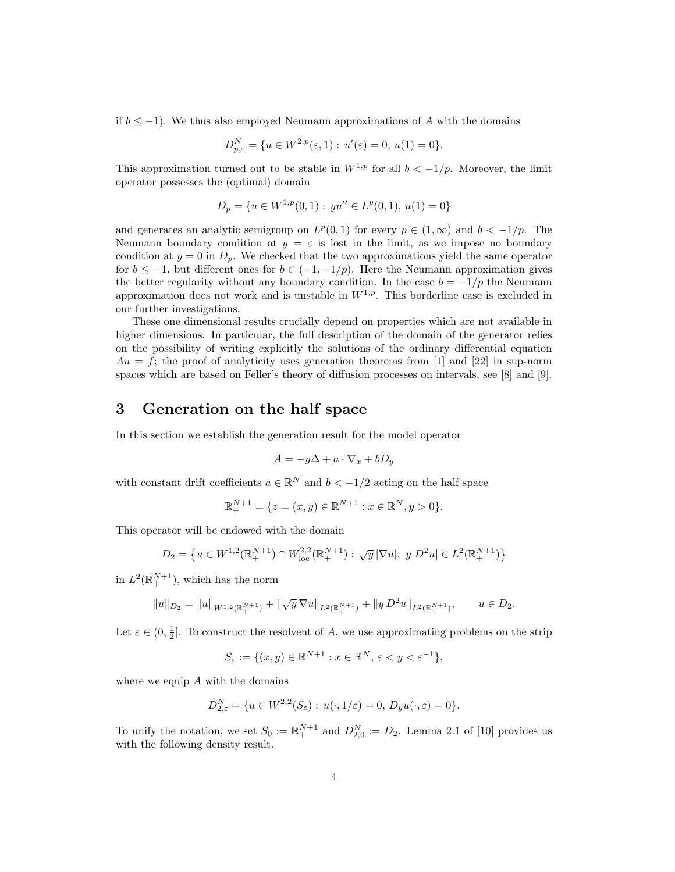if  $b \leq -1$ ). We thus also employed Neumann approximations of A with the domains

$$
D_{p,\varepsilon}^N = \{ u \in W^{2,p}(\varepsilon,1) : u'(\varepsilon) = 0, u(1) = 0 \}.
$$

This approximation turned out to be stable in  $W^{1,p}$  for all  $b < -1/p$ . Moreover, the limit operator possesses the (optimal) domain

$$
D_p = \{ u \in W^{1,p}(0,1) : yu'' \in L^p(0,1), u(1) = 0 \}
$$

and generates an analytic semigroup on  $L^p(0,1)$  for every  $p \in (1,\infty)$  and  $b < -1/p$ . The Neumann boundary condition at  $y = \varepsilon$  is lost in the limit, as we impose no boundary condition at  $y = 0$  in  $D_p$ . We checked that the two approximations yield the same operator for  $b \le -1$ , but different ones for  $b \in (-1, -1/p)$ . Here the Neumann approximation gives the better regularity without any boundary condition. In the case  $b = -1/p$  the Neumann approximation does not work and is unstable in  $W^{1,p}$ . This borderline case is excluded in our further investigations.

These one dimensional results crucially depend on properties which are not available in higher dimensions. In particular, the full description of the domain of the generator relies on the possibility of writing explicitly the solutions of the ordinary differential equation  $Au = f$ ; the proof of analyticity uses generation theorems from [1] and [22] in sup-norm spaces which are based on Feller's theory of diffusion processes on intervals, see [8] and [9].

## 3 Generation on the half space

In this section we establish the generation result for the model operator

$$
A = -y\Delta + a \cdot \nabla_x + bD_y
$$

with constant drift coefficients  $a \in \mathbb{R}^N$  and  $b < -1/2$  acting on the half space

$$
\mathbb{R}_+^{N+1} = \{ z = (x, y) \in \mathbb{R}^{N+1} : x \in \mathbb{R}^N, y > 0 \}.
$$

This operator will be endowed with the domain

$$
D_2 = \left\{ u \in W^{1,2}(\mathbb{R}_+^{N+1}) \cap W^{2,2}_{loc}(\mathbb{R}_+^{N+1}) : \sqrt{y} |\nabla u|, y|D^2 u| \in L^2(\mathbb{R}_+^{N+1}) \right\}
$$

in  $L^2(\mathbb{R}^{N+1}_+)$ , which has the norm

$$
||u||_{D_2} = ||u||_{W^{1,2}(\mathbb{R}^{N+1}_+)} + ||\sqrt{y} \nabla u||_{L^2(\mathbb{R}^{N+1}_+)} + ||y D^2 u||_{L^2(\mathbb{R}^{N+1}_+)}, \qquad u \in D_2.
$$

Let  $\varepsilon \in (0, \frac{1}{2}]$ . To construct the resolvent of A, we use approximating problems on the strip

$$
S_{\varepsilon} := \{ (x, y) \in \mathbb{R}^{N+1} : x \in \mathbb{R}^N, \, \varepsilon < y < \varepsilon^{-1} \},
$$

where we equip  $A$  with the domains

$$
D_{2,\varepsilon}^N = \{ u \in W^{2,2}(S_{\varepsilon}) : u(\cdot,1/\varepsilon) = 0, D_y u(\cdot,\varepsilon) = 0 \}.
$$

To unify the notation, we set  $S_0 := \mathbb{R}^{N+1}_+$  and  $D_{2,0}^N := D_2$ . Lemma 2.1 of [10] provides us with the following density result.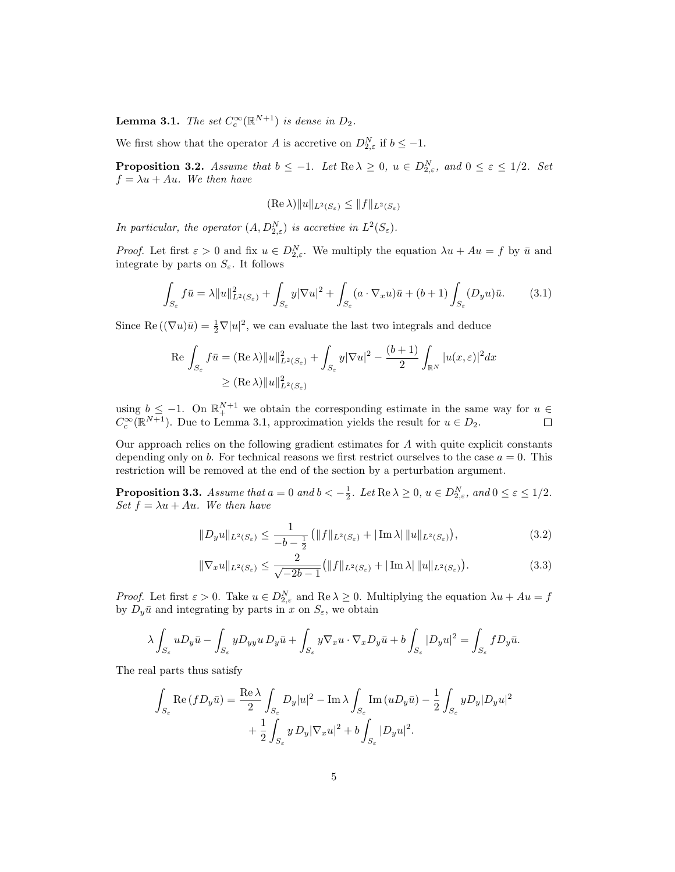**Lemma 3.1.** The set  $C_c^{\infty}(\mathbb{R}^{N+1})$  is dense in  $D_2$ .

We first show that the operator A is accretive on  $D_{2,\varepsilon}^N$  if  $b \leq -1$ .

**Proposition 3.2.** Assume that  $b \leq -1$ . Let  $\text{Re }\lambda \geq 0$ ,  $u \in D_{2,\varepsilon}^N$ , and  $0 \leq \varepsilon \leq 1/2$ . Set  $f = \lambda u + Au$ . We then have

$$
(\operatorname{Re}\lambda)\|u\|_{L^2(S_{\varepsilon})}\leq\|f\|_{L^2(S_{\varepsilon})}
$$

In particular, the operator  $(A, D_{2,\varepsilon}^N)$  is accretive in  $L^2(S_{\varepsilon}).$ 

*Proof.* Let first  $\varepsilon > 0$  and fix  $u \in D_{2,\varepsilon}^N$ . We multiply the equation  $\lambda u + Au = f$  by  $\bar{u}$  and integrate by parts on  $S_{\varepsilon}$ . It follows

$$
\int_{S_{\varepsilon}} f\bar{u} = \lambda \|u\|_{L^{2}(S_{\varepsilon})}^{2} + \int_{S_{\varepsilon}} y|\nabla u|^{2} + \int_{S_{\varepsilon}} (a \cdot \nabla_{x} u)\bar{u} + (b+1) \int_{S_{\varepsilon}} (D_{y} u)\bar{u}.
$$
 (3.1)

Since Re  $((\nabla u)\overline{u}) = \frac{1}{2}\nabla |u|^2$ , we can evaluate the last two integrals and deduce

$$
\operatorname{Re} \int_{S_{\varepsilon}} f\bar{u} = (\operatorname{Re} \lambda) \|u\|_{L^{2}(S_{\varepsilon})}^{2} + \int_{S_{\varepsilon}} y |\nabla u|^{2} - \frac{(b+1)}{2} \int_{\mathbb{R}^{N}} |u(x,\varepsilon)|^{2} dx
$$
  
 
$$
\geq (\operatorname{Re} \lambda) \|u\|_{L^{2}(S_{\varepsilon})}^{2}
$$

using  $b \leq -1$ . On  $\mathbb{R}^{N+1}$  we obtain the corresponding estimate in the same way for  $u \in$  $C_c^{\infty}(\mathbb{R}^{N+1})$ . Due to Lemma 3.1, approximation yields the result for  $u \in D_2$ .

Our approach relies on the following gradient estimates for A with quite explicit constants depending only on b. For technical reasons we first restrict ourselves to the case  $a = 0$ . This restriction will be removed at the end of the section by a perturbation argument.

**Proposition 3.3.** Assume that  $a = 0$  and  $b < -\frac{1}{2}$ . Let  $\text{Re }\lambda \geq 0$ ,  $u \in D_{2,\varepsilon}^N$ , and  $0 \leq \varepsilon \leq 1/2$ . Set  $f = \lambda u + Au$ . We then have

$$
||D_y u||_{L^2(S_{\varepsilon})} \le \frac{1}{-b - \frac{1}{2}} \left( ||f||_{L^2(S_{\varepsilon})} + |\operatorname{Im} \lambda| \, ||u||_{L^2(S_{\varepsilon})} \right),\tag{3.2}
$$

$$
\|\nabla_x u\|_{L^2(S_\varepsilon)} \le \frac{2}{\sqrt{-2b-1}} \left(\|f\|_{L^2(S_\varepsilon)} + |\operatorname{Im}\lambda| \|u\|_{L^2(S_\varepsilon)}\right). \tag{3.3}
$$

*Proof.* Let first  $\varepsilon > 0$ . Take  $u \in D_{2,\varepsilon}^N$  and  $\text{Re }\lambda \geq 0$ . Multiplying the equation  $\lambda u + Au = f$ by  $D_y\bar{u}$  and integrating by parts in x on  $S_\varepsilon$ , we obtain

$$
\lambda \int_{S_{\varepsilon}} u D_y \bar{u} - \int_{S_{\varepsilon}} y D_{yy} u D_y \bar{u} + \int_{S_{\varepsilon}} y \nabla_x u \cdot \nabla_x D_y \bar{u} + b \int_{S_{\varepsilon}} |D_y u|^2 = \int_{S_{\varepsilon}} f D_y \bar{u}.
$$

The real parts thus satisfy

$$
\int_{S_{\varepsilon}} \operatorname{Re}(fD_y \bar{u}) = \frac{\operatorname{Re}\lambda}{2} \int_{S_{\varepsilon}} D_y |u|^2 - \operatorname{Im}\lambda \int_{S_{\varepsilon}} \operatorname{Im}(uD_y \bar{u}) - \frac{1}{2} \int_{S_{\varepsilon}} yD_y |D_y u|^2
$$

$$
+ \frac{1}{2} \int_{S_{\varepsilon}} y D_y |\nabla_x u|^2 + b \int_{S_{\varepsilon}} |D_y u|^2.
$$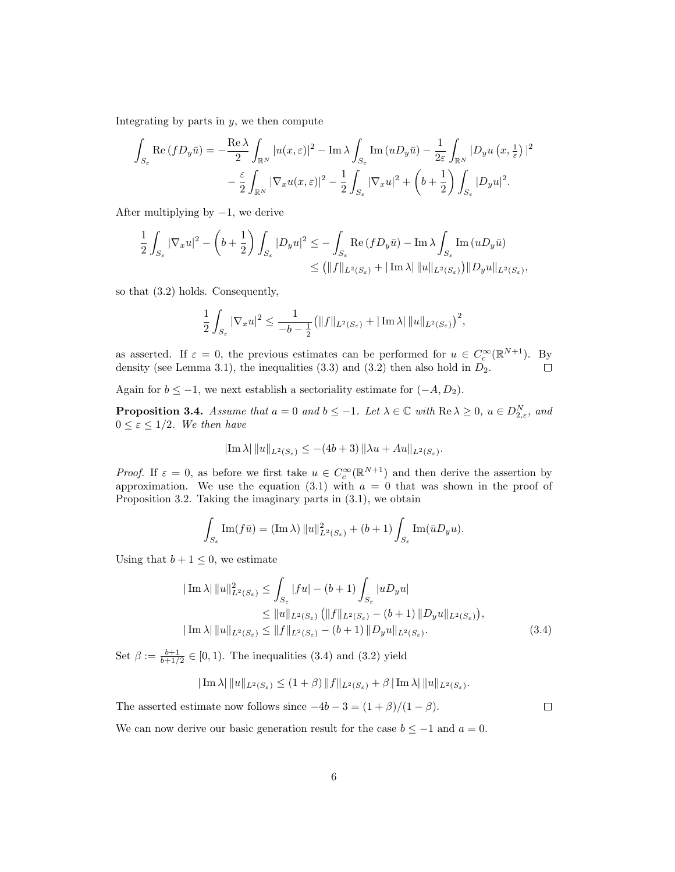Integrating by parts in  $y$ , we then compute

$$
\int_{S_{\varepsilon}} \operatorname{Re}(fD_y \bar{u}) = -\frac{\operatorname{Re}\lambda}{2} \int_{\mathbb{R}^N} |u(x,\varepsilon)|^2 - \operatorname{Im}\lambda \int_{S_{\varepsilon}} \operatorname{Im}(uD_y \bar{u}) - \frac{1}{2\varepsilon} \int_{\mathbb{R}^N} |D_y u(x, \frac{1}{\varepsilon})|^2
$$

$$
- \frac{\varepsilon}{2} \int_{\mathbb{R}^N} |\nabla_x u(x, \varepsilon)|^2 - \frac{1}{2} \int_{S_{\varepsilon}} |\nabla_x u|^2 + \left(b + \frac{1}{2}\right) \int_{S_{\varepsilon}} |D_y u|^2.
$$

After multiplying by  $-1$ , we derive

$$
\begin{aligned} \frac{1}{2}\int_{S_\varepsilon} |\nabla_x u|^2 - \left(b+\frac{1}{2}\right)\int_{S_\varepsilon} |D_y u|^2 &\leq -\int_{S_\varepsilon} \mathrm{Re}\,(fD_y\bar{u}) - \mathrm{Im}\,\lambda \int_{S_\varepsilon} \mathrm{Im}\,(uD_y\bar{u}) \\ &\leq \left(\|f\|_{L^2(S_\varepsilon)} + |\operatorname{Im}\lambda| \,\|u\|_{L^2(S_\varepsilon)}\right) \|D_y u\|_{L^2(S_\varepsilon)}, \end{aligned}
$$

so that (3.2) holds. Consequently,

$$
\frac{1}{2}\int_{S_{\varepsilon}}|\nabla_x u|^2\leq \frac{1}{-b-\frac{1}{2}}\big(\|f\|_{L^2(S_{\varepsilon})}+|\operatorname{Im}\lambda|\,\|u\|_{L^2(S_{\varepsilon})}\big)^2,
$$

as asserted. If  $\varepsilon = 0$ , the previous estimates can be performed for  $u \in C_c^{\infty}(\mathbb{R}^{N+1})$ . By density (see Lemma 3.1), the inequalities  $(3.3)$  and  $(3.2)$  then also hold in  $D_2$ .  $\Box$ 

Again for  $b \leq -1$ , we next establish a sectoriality estimate for  $(-A, D_2)$ .

**Proposition 3.4.** Assume that  $a = 0$  and  $b \leq -1$ . Let  $\lambda \in \mathbb{C}$  with  $\text{Re }\lambda \geq 0$ ,  $u \in D_{2,\varepsilon}^N$ , and  $0 \leq \varepsilon \leq 1/2$ . We then have

$$
|\text{Im }\lambda| \, ||u||_{L^2(S_{\varepsilon})} \leq -(4b+3) \, ||\lambda u + Au||_{L^2(S_{\varepsilon})}.
$$

*Proof.* If  $\varepsilon = 0$ , as before we first take  $u \in C_c^{\infty}(\mathbb{R}^{N+1})$  and then derive the assertion by approximation. We use the equation (3.1) with  $a = 0$  that was shown in the proof of Proposition 3.2. Taking the imaginary parts in (3.1), we obtain

$$
\int_{S_{\varepsilon}} \operatorname{Im}(f\bar{u}) = (\operatorname{Im}\lambda) \|u\|_{L^{2}(S_{\varepsilon})}^{2} + (b+1) \int_{S_{\varepsilon}} \operatorname{Im}(\bar{u}D_{y}u).
$$

Using that  $b + 1 \leq 0$ , we estimate

$$
|\operatorname{Im}\lambda| \|u\|_{L^{2}(S_{\varepsilon})}^{2} \leq \int_{S_{\varepsilon}} |fu| - (b+1) \int_{S_{\varepsilon}} |uD_{y}u|
$$
  
\n
$$
\leq \|u\|_{L^{2}(S_{\varepsilon})} \left( \|f\|_{L^{2}(S_{\varepsilon})} - (b+1) \|D_{y}u\|_{L^{2}(S_{\varepsilon})} \right),
$$
  
\n
$$
|\operatorname{Im}\lambda| \|u\|_{L^{2}(S_{\varepsilon})} \leq \|f\|_{L^{2}(S_{\varepsilon})} - (b+1) \|D_{y}u\|_{L^{2}(S_{\varepsilon})}.
$$
\n(3.4)

Set  $\beta := \frac{b+1}{b+1/2} \in [0,1)$ . The inequalities (3.4) and (3.2) yield

$$
|\operatorname{Im}\lambda| \|u\|_{L^2(S_\varepsilon)} \le (1+\beta) \|f\|_{L^2(S_\varepsilon)} + \beta |\operatorname{Im}\lambda| \|u\|_{L^2(S_\varepsilon)}.
$$

The asserted estimate now follows since  $-4b - 3 = (1 + \beta)/(1 - \beta)$ .

 $\Box$ 

We can now derive our basic generation result for the case  $b \le -1$  and  $a = 0$ .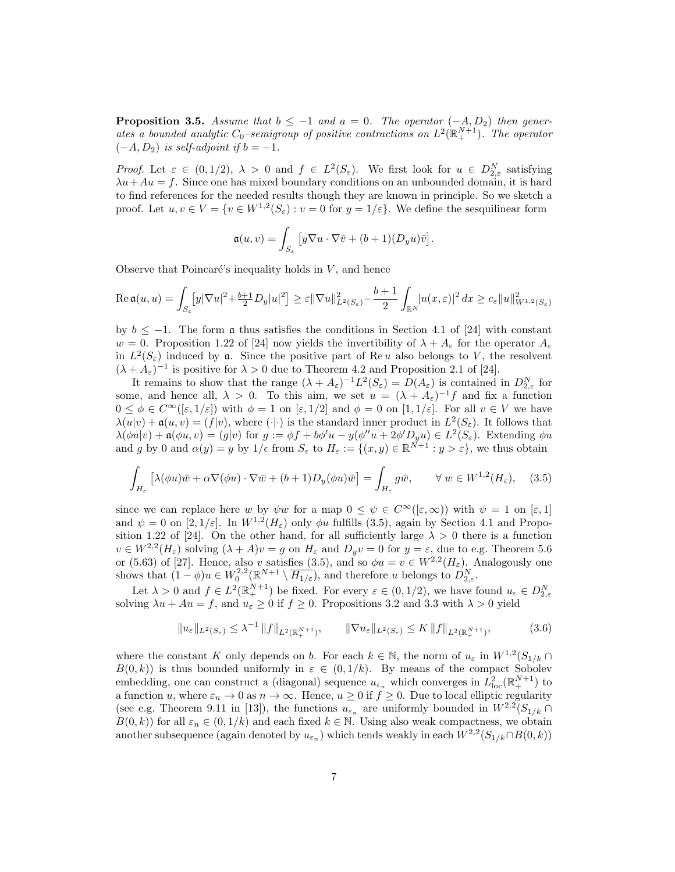**Proposition 3.5.** Assume that  $b \leq -1$  and  $a = 0$ . The operator  $(-A, D_2)$  then generates a bounded analytic  $C_0$ -semigroup of positive contractions on  $L^2(\mathbb{R}^{N+1}_+)$ . The operator  $(-A, D_2)$  is self-adjoint if  $b = -1$ .

Proof. Let  $\varepsilon \in (0,1/2)$ ,  $\lambda > 0$  and  $f \in L^2(S_{\varepsilon})$ . We first look for  $u \in D_{2,\varepsilon}^N$  satisfying  $\lambda u + Au = f$ . Since one has mixed boundary conditions on an unbounded domain, it is hard to find references for the needed results though they are known in principle. So we sketch a proof. Let  $u, v \in V = \{v \in W^{1,2}(S_{\varepsilon}) : v = 0 \text{ for } y = 1/\varepsilon\}$ . We define the sesquilinear form

$$
\mathfrak{a}(u,v) = \int_{S_{\varepsilon}} \left[ y \nabla u \cdot \nabla \bar{v} + (b+1)(D_y u) \bar{v} \right].
$$

Observe that Poincaré's inequality holds in  $V$ , and hence

$$
\operatorname{Re}\mathfrak{a}(u,u)=\int_{S_{\varepsilon}}[y|\nabla u|^2+\tfrac{b+1}{2}D_y|u|^2]\geq \varepsilon\|\nabla u\|_{L^2(S_{\varepsilon})}^2-\frac{b+1}{2}\int_{\mathbb{R}^N}|u(x,\varepsilon)|^2\,dx\geq c_\varepsilon\|u\|_{W^{1,2}(S_{\varepsilon})}^2
$$

by  $b \le -1$ . The form  $\mathfrak a$  thus satisfies the conditions in Section 4.1 of [24] with constant  $w = 0$ . Proposition 1.22 of [24] now yields the invertibility of  $\lambda + A_{\varepsilon}$  for the operator  $A_{\varepsilon}$ in  $L^2(S_{\varepsilon})$  induced by **a**. Since the positive part of Re u also belongs to V, the resolvent  $(\lambda + A_{\varepsilon})^{-1}$  is positive for  $\lambda > 0$  due to Theorem 4.2 and Proposition 2.1 of [24].

It remains to show that the range  $(\lambda + A_{\varepsilon})^{-1}L^2(S_{\varepsilon}) = D(A_{\varepsilon})$  is contained in  $D_{2,\varepsilon}^N$  for some, and hence all,  $\lambda > 0$ . To this aim, we set  $u = (\lambda + A_{\varepsilon})^{-1} f$  and fix a function  $0 \leq \phi \in C^{\infty}([\varepsilon, 1/\varepsilon])$  with  $\phi = 1$  on  $[\varepsilon, 1/2]$  and  $\phi = 0$  on  $[1, 1/\varepsilon]$ . For all  $v \in V$  we have  $\lambda(u|v) + \mathfrak{a}(u, v) = (f|v)$ , where  $(\cdot | \cdot)$  is the standard inner product in  $L^2(S_{\varepsilon})$ . It follows that  $\lambda(\phi u|v) + \mathfrak{a}(\phi u, v) = (g|v)$  for  $g := \phi f + b\phi' u - y(\phi'' u + 2\phi' D_y u) \in L^2(S_{\varepsilon})$ . Extending  $\phi u$ and g by 0 and  $\alpha(y) = y$  by  $1/\epsilon$  from  $S_{\epsilon}$  to  $H_{\epsilon} := \{(x, y) \in \mathbb{R}^{N+1} : y > \epsilon\}$ , we thus obtain

$$
\int_{H_{\varepsilon}} \left[ \lambda(\phi u)\bar{w} + \alpha \nabla(\phi u) \cdot \nabla \bar{w} + (b+1)D_y(\phi u)\bar{w} \right] = \int_{H_{\varepsilon}} g\bar{w}, \qquad \forall \ w \in W^{1,2}(H_{\varepsilon}), \quad (3.5)
$$

since we can replace here w by  $\psi w$  for a map  $0 \leq \psi \in C^{\infty}([\varepsilon,\infty))$  with  $\psi = 1$  on  $[\varepsilon,1]$ and  $\psi = 0$  on  $[2, 1/\varepsilon]$ . In  $W^{1,2}(H_{\varepsilon})$  only  $\phi u$  fulfills (3.5), again by Section 4.1 and Proposition 1.22 of [24]. On the other hand, for all sufficiently large  $\lambda > 0$  there is a function  $v \in W^{2,2}(H_{\varepsilon})$  solving  $(\lambda + A)v = g$  on  $H_{\varepsilon}$  and  $D_yv = 0$  for  $y = \varepsilon$ , due to e.g. Theorem 5.6 or (5.63) of [27]. Hence, also v satisfies (3.5), and so  $\phi u = v \in W^{2,2}(H_{\varepsilon})$ . Analogously one shows that  $(1 - \phi)u \in W_0^{2,2}(\mathbb{R}^{N+1} \setminus \overline{H_{1/\varepsilon}})$ , and therefore u belongs to  $D_{2,\varepsilon}^N$ .

Let  $\lambda > 0$  and  $f \in L^2(\mathbb{R}^{N+1}_+)$  be fixed. For every  $\varepsilon \in (0, 1/2)$ , we have found  $u_{\varepsilon} \in D_{2,\varepsilon}^N$ <br>solving  $\lambda u + Au = f$ , and  $u_{\varepsilon} \ge 0$  if  $f \ge 0$ . Propositions 3.2 and 3.3 with  $\lambda > 0$  yield

$$
||u_{\varepsilon}||_{L^{2}(S_{\varepsilon})} \leq \lambda^{-1} ||f||_{L^{2}(\mathbb{R}^{N+1}_{+})}, \qquad ||\nabla u_{\varepsilon}||_{L^{2}(S_{\varepsilon})} \leq K ||f||_{L^{2}(\mathbb{R}^{N+1}_{+})}, \tag{3.6}
$$

where the constant K only depends on b. For each  $k \in \mathbb{N}$ , the norm of  $u_{\varepsilon}$  in  $W^{1,2}(S_{1/k} \cap$  $B(0, k)$ ) is thus bounded uniformly in  $\varepsilon \in (0, 1/k)$ . By means of the compact Sobolev embedding, one can construct a (diagonal) sequence  $u_{\varepsilon_n}$  which converges in  $L^2_{\text{loc}}(\mathbb{R}^{N+1}_+)$  to a function u, where  $\varepsilon_n \to 0$  as  $n \to \infty$ . Hence,  $u \geq 0$  if  $f \geq 0$ . Due to local elliptic regularity (see e.g. Theorem 9.11 in [13]), the functions  $u_{\varepsilon_n}$  are uniformly bounded in  $W^{2,2}(S_{1/k} \cap$  $B(0, k)$  for all  $\varepsilon_n \in (0, 1/k)$  and each fixed  $k \in \mathbb{N}$ . Using also weak compactness, we obtain another subsequence (again denoted by  $u_{\varepsilon_n}$ ) which tends weakly in each  $W^{2,2}(S_{1/k} \cap B(0,k))$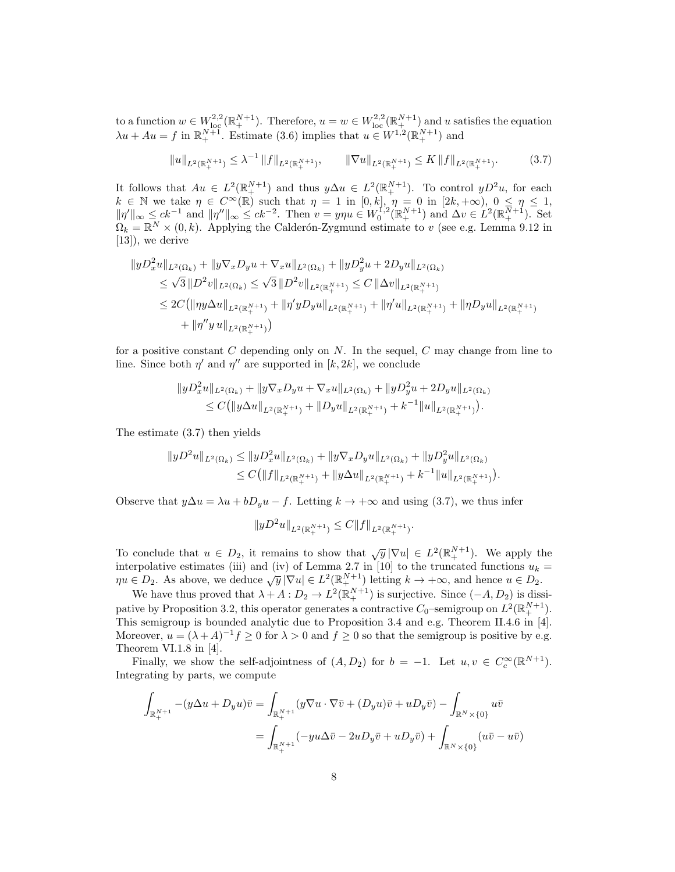to a function  $w \in W^{2,2}_{loc}(\mathbb{R}^{N+1}_+)$ . Therefore,  $u = w \in W^{2,2}_{loc}(\mathbb{R}^{N+1}_+)$  and u satisfies the equation  $\lambda u + Au = f$  in  $\mathbb{R}^{N+1}_+$ . Estimate (3.6) implies that  $u \in W^{1,2}(\mathbb{R}^{N+1}_+)$  and

$$
||u||_{L^{2}(\mathbb{R}_{+}^{N+1})} \leq \lambda^{-1} ||f||_{L^{2}(\mathbb{R}_{+}^{N+1})}, \qquad ||\nabla u||_{L^{2}(\mathbb{R}_{+}^{N+1})} \leq K ||f||_{L^{2}(\mathbb{R}_{+}^{N+1})}.
$$
 (3.7)

It follows that  $Au \in L^2(\mathbb{R}^{N+1}_+)$  and thus  $y\Delta u \in L^2(\mathbb{R}^{N+1}_+)$ . To control  $yD^2u$ , for each  $k \in \mathbb{N}$  we take  $\eta \in C^{\infty}(\mathbb{R})$  such that  $\eta = 1$  in  $[0, k]$ ,  $\eta = 0$  in  $[2k, +\infty)$ ,  $0 \leq \eta \leq 1$ ,  $\|\eta'\|_{\infty} \leq ck^{-1}$  and  $\|\eta''\|_{\infty} \leq ck^{-2}$ . Then  $v = y\eta u \in W_0^{1,2}(\mathbb{R}^{N+1}_+)$  and  $\Delta v \in L^2(\mathbb{R}^{N+1}_+)$ . Set  $\Omega_k = \mathbb{R}^N \times (0, k)$ . Applying the Calderón-Zygmund estimate to v (see e.g. Lemma 9.12 in [13]), we derive

$$
\|yD_x^2u\|_{L^2(\Omega_k)} + \|y\nabla_x D_yu + \nabla_x u\|_{L^2(\Omega_k)} + \|yD_y^2u + 2D_yu\|_{L^2(\Omega_k)}
$$
  
\n
$$
\leq \sqrt{3} \|D^2v\|_{L^2(\Omega_k)} \leq \sqrt{3} \|D^2v\|_{L^2(\mathbb{R}_+^{N+1})} \leq C \|\Delta v\|_{L^2(\mathbb{R}_+^{N+1})}
$$
  
\n
$$
\leq 2C (\|\eta y\Delta u\|_{L^2(\mathbb{R}_+^{N+1})} + \|\eta' yD_yu\|_{L^2(\mathbb{R}_+^{N+1})} + \|\eta'u\|_{L^2(\mathbb{R}_+^{N+1})} + \|\eta D_yu\|_{L^2(\mathbb{R}_+^{N+1})}
$$

for a positive constant  $C$  depending only on  $N$ . In the sequel,  $C$  may change from line to line. Since both  $\eta'$  and  $\eta''$  are supported in [k, 2k], we conclude

$$
||yD_x^2u||_{L^2(\Omega_k)} + ||y\nabla_x D_y u + \nabla_x u||_{L^2(\Omega_k)} + ||yD_y^2u + 2D_y u||_{L^2(\Omega_k)}\leq C(||y\Delta u||_{L^2(\mathbb{R}^{N+1}_+)} + ||D_y u||_{L^2(\mathbb{R}^{N+1}_+)} + k^{-1}||u||_{L^2(\mathbb{R}^{N+1}_+)}).
$$

The estimate (3.7) then yields

$$
||yD^2u||_{L^2(\Omega_k)} \le ||yD_x^2u||_{L^2(\Omega_k)} + ||y\nabla_x D_yu||_{L^2(\Omega_k)} + ||yD_y^2u||_{L^2(\Omega_k)}\le C(||f||_{L^2(\mathbb{R}^{N+1}_+)} + ||y\Delta u||_{L^2(\mathbb{R}^{N+1}_+)} + k^{-1}||u||_{L^2(\mathbb{R}^{N+1}_+)}).
$$

Observe that  $y\Delta u = \lambda u + bD_yu - f$ . Letting  $k \to +\infty$  and using (3.7), we thus infer

$$
||yD^2u||_{L^2(\mathbb{R}^{N+1}_+)} \leq C||f||_{L^2(\mathbb{R}^{N+1}_+)}.
$$

To conclude that  $u \in D_2$ , it remains to show that  $\sqrt{y} |\nabla u| \in L^2(\mathbb{R}^{N+1}_+)$ . We apply the interpolative estimates (iii) and (iv) of Lemma 2.7 in [10] to the truncated functions  $u_k = \eta u \in D_2$ . As above, we deduce  $\sqrt{y} |\nabla u| \in L^2(\mathbb{R}^{N+1}_+)$  letting  $k \to +\infty$ , and hence  $u \in D_2$ .

We have thus proved that  $\lambda + A : D_2 \to L^2(\mathbb{R}^{N+1}_+)$  is surjective. Since  $(-A, D_2)$  is dissipative by Proposition 3.2, this operator generates a contractive  $C_0$ -semigroup on  $L^2(\mathbb{R}^{N+1}_+)$ . This semigroup is bounded analytic due to Proposition 3.4 and e.g. Theorem II.4.6 in [4]. Moreover,  $u = (\lambda + A)^{-1} f \ge 0$  for  $\lambda > 0$  and  $f \ge 0$  so that the semigroup is positive by e.g. Theorem VI.1.8 in [4].

Finally, we show the self-adjointness of  $(A, D_2)$  for  $b = -1$ . Let  $u, v \in C_c^{\infty}(\mathbb{R}^{N+1})$ . Integrating by parts, we compute

$$
\int_{\mathbb{R}_+^{N+1}} -(y\Delta u + D_y u)\overline{v} = \int_{\mathbb{R}_+^{N+1}} (y\nabla u \cdot \nabla \overline{v} + (D_y u)\overline{v} + uD_y \overline{v}) - \int_{\mathbb{R}^N \times \{0\}} u\overline{v}
$$

$$
= \int_{\mathbb{R}_+^{N+1}} (-yu\Delta \overline{v} - 2uD_y \overline{v} + uD_y \overline{v}) + \int_{\mathbb{R}^N \times \{0\}} (u\overline{v} - u\overline{v})
$$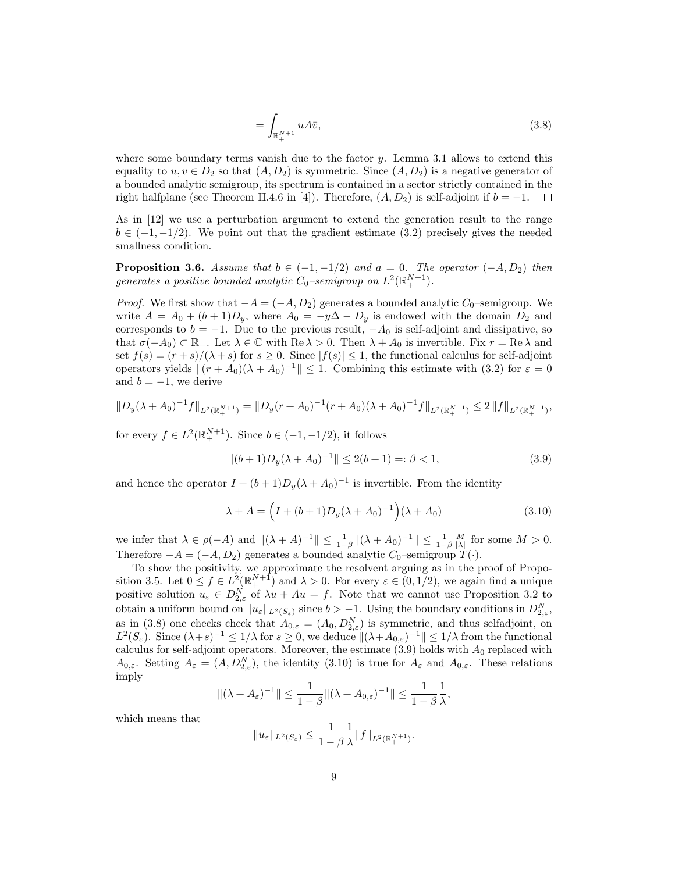$$
=\int_{\mathbb{R}_{+}^{N+1}} u A \bar{v},\tag{3.8}
$$

where some boundary terms vanish due to the factor y. Lemma 3.1 allows to extend this equality to  $u, v \in D_2$  so that  $(A, D_2)$  is symmetric. Since  $(A, D_2)$  is a negative generator of a bounded analytic semigroup, its spectrum is contained in a sector strictly contained in the right halfplane (see Theorem II.4.6 in [4]). Therefore,  $(A, D_2)$  is self-adjoint if  $b = -1$ .  $\Box$ 

As in [12] we use a perturbation argument to extend the generation result to the range  $b \in (-1, -1/2)$ . We point out that the gradient estimate (3.2) precisely gives the needed smallness condition.

**Proposition 3.6.** Assume that  $b \in (-1, -1/2)$  and  $a = 0$ . The operator  $(-A, D_2)$  then generates a positive bounded analytic  $C_0$ -semigroup on  $L^2(\mathbb{R}^{N+1}_+)$ .

*Proof.* We first show that  $-A = (-A, D_2)$  generates a bounded analytic  $C_0$ -semigroup. We write  $A = A_0 + (b+1)D_y$ , where  $A_0 = -y\Delta - D_y$  is endowed with the domain  $D_2$  and corresponds to  $b = -1$ . Due to the previous result,  $-A_0$  is self-adjoint and dissipative, so that  $\sigma(-A_0) \subset \mathbb{R}_-$ . Let  $\lambda \in \mathbb{C}$  with  $\text{Re }\lambda > 0$ . Then  $\lambda + A_0$  is invertible. Fix  $r = \text{Re }\lambda$  and set  $f(s) = (r + s)/(\lambda + s)$  for  $s \geq 0$ . Since  $|f(s)| \leq 1$ , the functional calculus for self-adjoint operators yields  $||(r + A_0)(\lambda + A_0)^{-1}|| \le 1$ . Combining this estimate with (3.2) for  $\varepsilon = 0$ and  $b = -1$ , we derive

$$
||D_y(\lambda + A_0)^{-1}f||_{L^2(\mathbb{R}^{N+1}_+)} = ||D_y(r + A_0)^{-1}(r + A_0)(\lambda + A_0)^{-1}f||_{L^2(\mathbb{R}^{N+1}_+)} \leq 2||f||_{L^2(\mathbb{R}^{N+1}_+)},
$$

for every  $f \in L^2(\mathbb{R}^{N+1}_+)$ . Since  $b \in (-1, -1/2)$ , it follows

$$
\|(b+1)D_y(\lambda + A_0)^{-1}\| \le 2(b+1) =: \beta < 1,\tag{3.9}
$$

and hence the operator  $I + (b+1)D_y(\lambda + A_0)^{-1}$  is invertible. From the identity

$$
\lambda + A = \left( I + (b+1)D_y(\lambda + A_0)^{-1} \right) (\lambda + A_0)
$$
\n(3.10)

we infer that  $\lambda \in \rho(-A)$  and  $\|(\lambda + A)^{-1}\| \le \frac{1}{1-\beta} \|(\lambda + A_0)^{-1}\| \le \frac{1}{1-\beta} \frac{M}{|\lambda|}$  for some  $M > 0$ . Therefore  $-A = (-A, D_2)$  generates a bounded analytic  $C_0$ –semigroup  $T(\cdot)$ .

To show the positivity, we approximate the resolvent arguing as in the proof of Proposition 3.5. Let  $0 \le f \in L^2(\mathbb{R}^{N+1}_+)$  and  $\lambda > 0$ . For every  $\varepsilon \in (0, 1/2)$ , we again find a unique positive solution  $u_{\varepsilon} \in D_{2,\varepsilon}^N$  of  $\lambda u + Au = f$ . Note that we cannot use Proposition 3.2 to obtain a uniform bound on  $||u_{\varepsilon}||_{L^2(S_{\varepsilon})}$  since  $b > -1$ . Using the boundary conditions in  $D_{2,\varepsilon}^N$ , as in (3.8) one checks check that  $A_{0,\varepsilon} = (A_0, D_{2,\varepsilon}^N)$  is symmetric, and thus selfadjoint, on  $L^2(S_{\varepsilon})$ . Since  $(\lambda + s)^{-1} \leq 1/\lambda$  for  $s \geq 0$ , we deduce  $\|(\lambda + A_{0,\varepsilon})^{-1}\| \leq 1/\lambda$  from the functional calculus for self-adjoint operators. Moreover, the estimate  $(3.9)$  holds with  $A_0$  replaced with  $A_{0,\varepsilon}$ . Setting  $A_{\varepsilon} = (A, D_{2,\varepsilon}^N)$ , the identity (3.10) is true for  $A_{\varepsilon}$  and  $A_{0,\varepsilon}$ . These relations imply

$$
\|(\lambda + A_{\varepsilon})^{-1}\| \leq \frac{1}{1-\beta} \|(\lambda + A_{0,\varepsilon})^{-1}\| \leq \frac{1}{1-\beta} \frac{1}{\lambda},
$$

which means that

$$
||u_{\varepsilon}||_{L^{2}(S_{\varepsilon})} \leq \frac{1}{1-\beta} \frac{1}{\lambda} ||f||_{L^{2}(\mathbb{R}^{N+1}_{+})}.
$$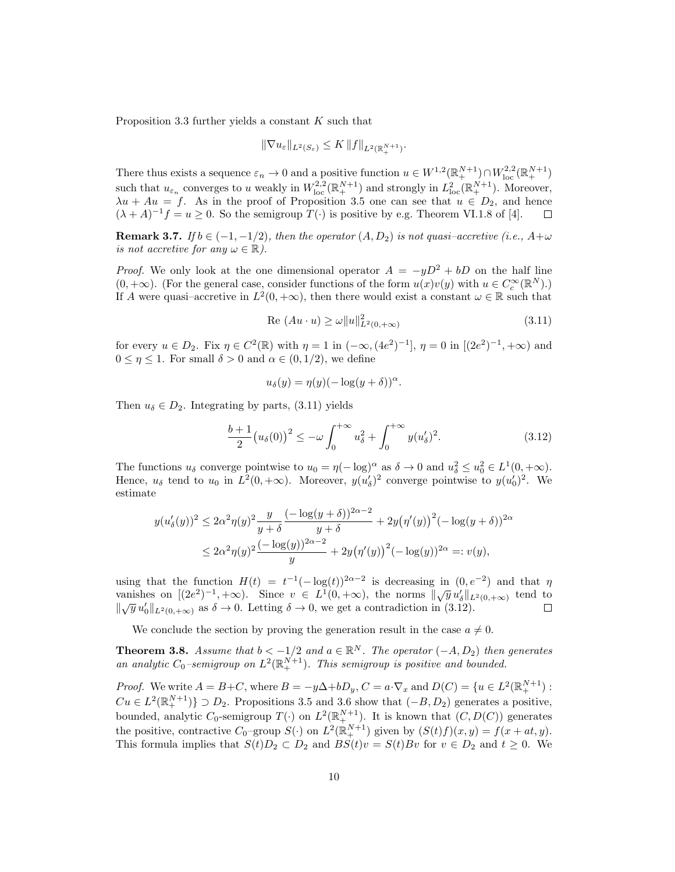Proposition 3.3 further yields a constant  $K$  such that

$$
\|\nabla u_{\varepsilon}\|_{L^2(S_{\varepsilon})}\leq K\,\|f\|_{L^2(\mathbb{R}^{N+1}_+)}.
$$

There thus exists a sequence  $\varepsilon_n \to 0$  and a positive function  $u \in W^{1,2}(\mathbb{R}^{N+1}_+) \cap W^{2,2}_{loc}(\mathbb{R}^{N+1}_+)$ such that  $u_{\varepsilon_n}$  converges to u weakly in  $W_{\text{loc}}^{2,2}(\mathbb{R}^{N+1}_+)$  and strongly in  $L^2_{\text{loc}}(\mathbb{R}^{N+1}_+)$ . Moreover,  $\lambda u + Au = f$ . As in the proof of Proposition 3.5 one can see that  $u \in D_2$ , and hence  $(\lambda + A)^{-1}f = u \ge 0$ . So the semigroup  $T(\cdot)$  is positive by e.g. Theorem VI.1.8 of [4].

**Remark 3.7.** If  $b \in (-1, -1/2)$ , then the operator  $(A, D_2)$  is not quasi-accretive (i.e.,  $A + \omega$ ) is not accretive for any  $\omega \in \mathbb{R}$ ).

*Proof.* We only look at the one dimensional operator  $A = -yD^2 + bD$  on the half line  $(0, +\infty)$ . (For the general case, consider functions of the form  $u(x)v(y)$  with  $u \in C_c^{\infty}(\mathbb{R}^N)$ .) If A were quasi–accretive in  $L^2(0, +\infty)$ , then there would exist a constant  $\omega \in \mathbb{R}$  such that

$$
Re (Au \cdot u) \ge \omega ||u||_{L^{2}(0, +\infty)}^{2}
$$
\n(3.11)

for every  $u \in D_2$ . Fix  $\eta \in C^2(\mathbb{R})$  with  $\eta = 1$  in  $(-\infty, (4e^2)^{-1}]$ ,  $\eta = 0$  in  $[(2e^2)^{-1}, +\infty)$  and  $0 \leq \eta \leq 1$ . For small  $\delta > 0$  and  $\alpha \in (0, 1/2)$ , we define

$$
u_{\delta}(y) = \eta(y)(-\log(y+\delta))^{\alpha}.
$$

Then  $u_{\delta} \in D_2$ . Integrating by parts, (3.11) yields

$$
\frac{b+1}{2}(u_{\delta}(0))^{2} \leq -\omega \int_{0}^{+\infty} u_{\delta}^{2} + \int_{0}^{+\infty} y(u_{\delta}')^{2}.
$$
 (3.12)

The functions  $u_{\delta}$  converge pointwise to  $u_0 = \eta(-\log)^{\alpha}$  as  $\delta \to 0$  and  $u_{\delta}^2 \le u_0^2 \in L^1(0, +\infty)$ . Hence,  $u_{\delta}$  tend to  $u_0$  in  $L^2(0, +\infty)$ . Moreover,  $y(u'_{\delta})^2$  converge pointwise to  $y(u'_0)^2$ . We estimate

$$
y(u'_{\delta}(y))^2 \le 2\alpha^2 \eta(y)^2 \frac{y}{y+\delta} \frac{(-\log(y+\delta))^{2\alpha-2}}{y+\delta} + 2y(\eta'(y))^2 (-\log(y+\delta))^{2\alpha}
$$
  

$$
\le 2\alpha^2 \eta(y)^2 \frac{(-\log(y))^{2\alpha-2}}{y} + 2y(\eta'(y))^2 (-\log(y))^{2\alpha} =: v(y),
$$

using that the function  $H(t) = t^{-1}(-\log(t))^{2\alpha-2}$  is decreasing in  $(0, e^{-2})$  and that  $\eta$ vanishes on  $[(2e^2)^{-1}, +\infty)$ . Since  $v \in L^1(0, +\infty)$ , the norms  $\|\sqrt{y} u'_\delta\|_{L^2(0, +\infty)}$  tend to values on  $[(2\epsilon)^{-1}, \infty)$ . Since  $\epsilon \in E$  (0,  $(\infty)$ , the horms  $||\sqrt{y} u_{\delta}'||_L$ <br> $||\sqrt{y} u'_{0}||_{L^2(0,+\infty)}$  as  $\delta \to 0$ . Letting  $\delta \to 0$ , we get a contradiction in (3.12).  $\Box$ 

We conclude the section by proving the generation result in the case  $a \neq 0$ .

**Theorem 3.8.** Assume that  $b < -1/2$  and  $a \in \mathbb{R}^N$ . The operator  $(-A, D_2)$  then generates an analytic  $C_0$ -semigroup on  $L^2(\mathbb{R}^{N+1}_+)$ . This semigroup is positive and bounded.

*Proof.* We write  $A = B + C$ , where  $B = -y\Delta + bD_y$ ,  $C = a \cdot \nabla_x$  and  $D(C) = \{u \in L^2(\mathbb{R}^{N+1}_+) :$  $Cu \in L^2(\mathbb{R}^{N+1}_+)$   $\supset D_2$ . Propositions 3.5 and 3.6 show that  $(-B, D_2)$  generates a positive, bounded, analytic  $C_0$ -semigroup  $T(\cdot)$  on  $L^2(\mathbb{R}^{N+1}_+)$ . It is known that  $(C, D(C))$  generates the positive, contractive  $C_0$ -group  $S(\cdot)$  on  $L^2(\mathbb{R}^{N+1}_+)$  given by  $(S(t)f)(x, y) = f(x + at, y)$ . This formula implies that  $S(t)D_2 \subset D_2$  and  $BS(t)v = S(t)Bv$  for  $v \in D_2$  and  $t \geq 0$ . We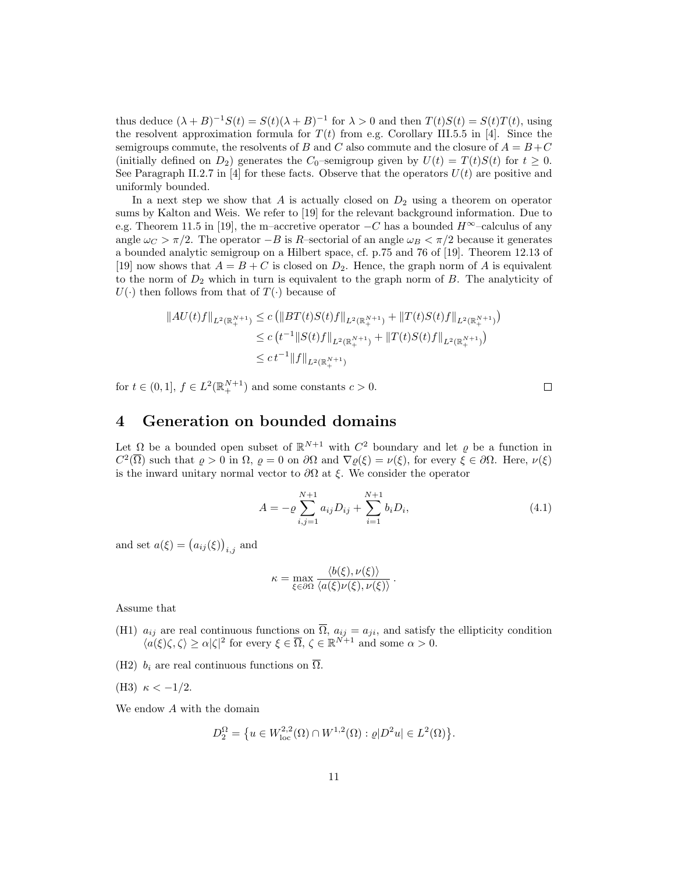thus deduce  $(\lambda + B)^{-1}S(t) = S(t)(\lambda + B)^{-1}$  for  $\lambda > 0$  and then  $T(t)S(t) = S(t)T(t)$ , using the resolvent approximation formula for  $T(t)$  from e.g. Corollary III.5.5 in [4]. Since the semigroups commute, the resolvents of B and C also commute and the closure of  $A = B + C$ (initially defined on  $D_2$ ) generates the  $C_0$ –semigroup given by  $U(t) = T(t)S(t)$  for  $t \geq 0$ . See Paragraph II.2.7 in [4] for these facts. Observe that the operators  $U(t)$  are positive and uniformly bounded.

In a next step we show that A is actually closed on  $D_2$  using a theorem on operator sums by Kalton and Weis. We refer to [19] for the relevant background information. Due to e.g. Theorem 11.5 in [19], the m–accretive operator  $-C$  has a bounded  $H^{\infty}$ –calculus of any angle  $\omega_C > \pi/2$ . The operator  $-B$  is R–sectorial of an angle  $\omega_B < \pi/2$  because it generates a bounded analytic semigroup on a Hilbert space, cf. p.75 and 76 of [19]. Theorem 12.13 of [19] now shows that  $A = B + C$  is closed on  $D_2$ . Hence, the graph norm of A is equivalent to the norm of  $D_2$  which in turn is equivalent to the graph norm of  $B$ . The analyticity of  $U(\cdot)$  then follows from that of  $T(\cdot)$  because of

$$
||AU(t)f||_{L^{2}(\mathbb{R}_{+}^{N+1})} \leq c \left( ||BT(t)S(t)f||_{L^{2}(\mathbb{R}_{+}^{N+1})} + ||T(t)S(t)f||_{L^{2}(\mathbb{R}_{+}^{N+1})} \right)
$$
  
\n
$$
\leq c \left( t^{-1} ||S(t)f||_{L^{2}(\mathbb{R}_{+}^{N+1})} + ||T(t)S(t)f||_{L^{2}(\mathbb{R}_{+}^{N+1})} \right)
$$
  
\n
$$
\leq c \left( t^{-1} ||f||_{L^{2}(\mathbb{R}_{+}^{N+1})} + ||T(t)S(t)f||_{L^{2}(\mathbb{R}_{+}^{N+1})} \right)
$$

for  $t \in (0,1], f \in L^2(\mathbb{R}^{N+1}_+)$  and some constants  $c > 0$ .

#### 4 Generation on bounded domains

Let  $\Omega$  be a bounded open subset of  $\mathbb{R}^{N+1}$  with  $C^2$  boundary and let  $\varrho$  be a function in  $C^2(\overline{\Omega})$  such that  $\varrho > 0$  in  $\Omega$ ,  $\varrho = 0$  on  $\partial\Omega$  and  $\nabla \varrho(\xi) = \nu(\xi)$ , for every  $\xi \in \partial\Omega$ . Here,  $\nu(\xi)$ is the inward unitary normal vector to  $\partial\Omega$  at  $\xi$ . We consider the operator

$$
A = -\varrho \sum_{i,j=1}^{N+1} a_{ij} D_{ij} + \sum_{i=1}^{N+1} b_i D_i,
$$
\n(4.1)

and set  $a(\xi) = (a_{ij}(\xi))_{i,j}$  and

$$
\kappa = \max_{\xi \in \partial \Omega} \frac{\langle b(\xi), \nu(\xi) \rangle}{\langle a(\xi) \nu(\xi), \nu(\xi) \rangle}.
$$

Assume that

- (H1)  $a_{ij}$  are real continuous functions on  $\Omega$ ,  $a_{ij} = a_{ji}$ , and satisfy the ellipticity condition  $\langle a(\xi)\zeta, \zeta\rangle \geq \alpha |\zeta|^2$  for every  $\xi \in \overline{\Omega}, \zeta \in \mathbb{R}^{N+1}$  and some  $\alpha > 0$ .
- (H2)  $b_i$  are real continuous functions on  $\overline{\Omega}$ .
- (H3)  $\kappa < -1/2$ .

We endow A with the domain

$$
D_2^{\Omega} = \{ u \in W^{2,2}_{loc}(\Omega) \cap W^{1,2}(\Omega) : \varrho | D^2 u | \in L^2(\Omega) \}.
$$

 $\Box$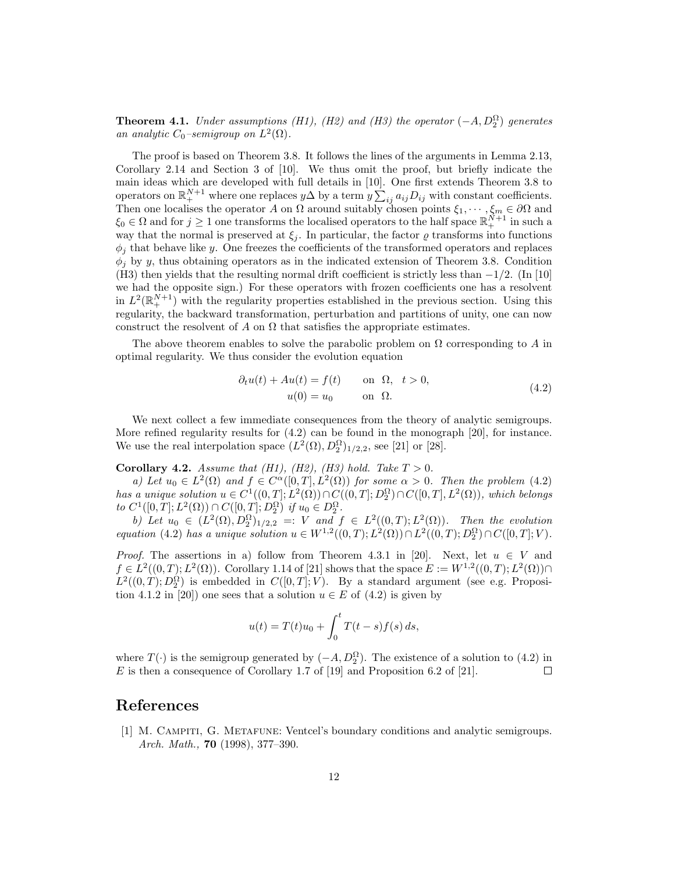**Theorem 4.1.** Under assumptions (H1), (H2) and (H3) the operator  $(-A, D_2^{\Omega})$  generates an analytic  $C_0$ -semigroup on  $L^2(\Omega)$ .

The proof is based on Theorem 3.8. It follows the lines of the arguments in Lemma 2.13, Corollary 2.14 and Section 3 of [10]. We thus omit the proof, but briefly indicate the main ideas which are developed with full details in [10]. One first extends Theorem 3.8 to operators on  $\mathbb{R}^{N+1}_+$  where one replaces  $y\Delta$  by a term  $y \sum_{ij} a_{ij} D_{ij}$  with constant coefficients. Then one localises the operator A on  $\Omega$  around suitably chosen points  $\xi_1, \dots, \xi_m \in \partial\Omega$  and  $\xi_0 \in \Omega$  and for  $j \geq 1$  one transforms the localised operators to the half space  $\mathbb{R}^{N+1}_+$  in such a way that the normal is preserved at  $\xi_i$ . In particular, the factor  $\varrho$  transforms into functions  $\phi_j$  that behave like y. One freezes the coefficients of the transformed operators and replaces  $\phi_i$  by y, thus obtaining operators as in the indicated extension of Theorem 3.8. Condition (H3) then yields that the resulting normal drift coefficient is strictly less than  $-1/2$ . (In [10] we had the opposite sign.) For these operators with frozen coefficients one has a resolvent in  $L^2(\mathbb{R}^{N+1}_+)$  with the regularity properties established in the previous section. Using this regularity, the backward transformation, perturbation and partitions of unity, one can now construct the resolvent of A on  $\Omega$  that satisfies the appropriate estimates.

The above theorem enables to solve the parabolic problem on  $\Omega$  corresponding to A in optimal regularity. We thus consider the evolution equation

$$
\partial_t u(t) + Au(t) = f(t) \quad \text{on } \Omega, \ t > 0,
$$
  

$$
u(0) = u_0 \quad \text{on } \Omega.
$$
 (4.2)

We next collect a few immediate consequences from the theory of analytic semigroups. More refined regularity results for (4.2) can be found in the monograph [20], for instance. We use the real interpolation space  $(L^2(\Omega), D_2^{\Omega})_{1/2,2}$ , see [21] or [28].

Corollary 4.2. Assume that (H1), (H2), (H3) hold. Take  $T > 0$ .

a) Let  $u_0 \in L^2(\Omega)$  and  $f \in C^{\alpha}([0,T], L^2(\Omega))$  for some  $\alpha > 0$ . Then the problem (4.2) has a unique solution  $u \in C^1((0,T];L^2(\Omega)) \cap C((0,T];D_2^{\Omega}) \cap C([0,T],L^2(\Omega))$ , which belongs to  $C^1([0,T];L^2(\Omega)) \cap C([0,T];D_2^{\Omega})$  if  $u_0 \in D_2^{\Omega}$ .

b) Let  $u_0 \in (L^2(\Omega), D_2^{\Omega})_{1/2,2} =: V$  and  $f \in L^2((0,T); L^2(\Omega))$ . Then the evolution equation (4.2) has a unique solution  $u \in W^{1,2}((0,T); L^2(\Omega)) \cap L^2((0,T); D_2^{\Omega}) \cap C([0,T]; V)$ .

*Proof.* The assertions in a) follow from Theorem 4.3.1 in [20]. Next, let  $u \in V$  and  $f \in L^2((0,T); L^2(\Omega))$ . Corollary 1.14 of [21] shows that the space  $E := W^{1,2}((0,T); L^2(\Omega)) \cap$  $L^2((0,T); D_2^{\Omega})$  is embedded in  $C([0,T]; V)$ . By a standard argument (see e.g. Proposition 4.1.2 in [20]) one sees that a solution  $u \in E$  of (4.2) is given by

$$
u(t) = T(t)u_0 + \int_0^t T(t - s) f(s) \, ds,
$$

where  $T(\cdot)$  is the semigroup generated by  $(-A, D_2^{\Omega})$ . The existence of a solution to  $(4.2)$  in  $E$  is then a consequence of Corollary 1.7 of [19] and Proposition 6.2 of [21].  $\Box$ 

## References

[1] M. Campiti, G. Metafune: Ventcel's boundary conditions and analytic semigroups. Arch. Math., 70 (1998), 377–390.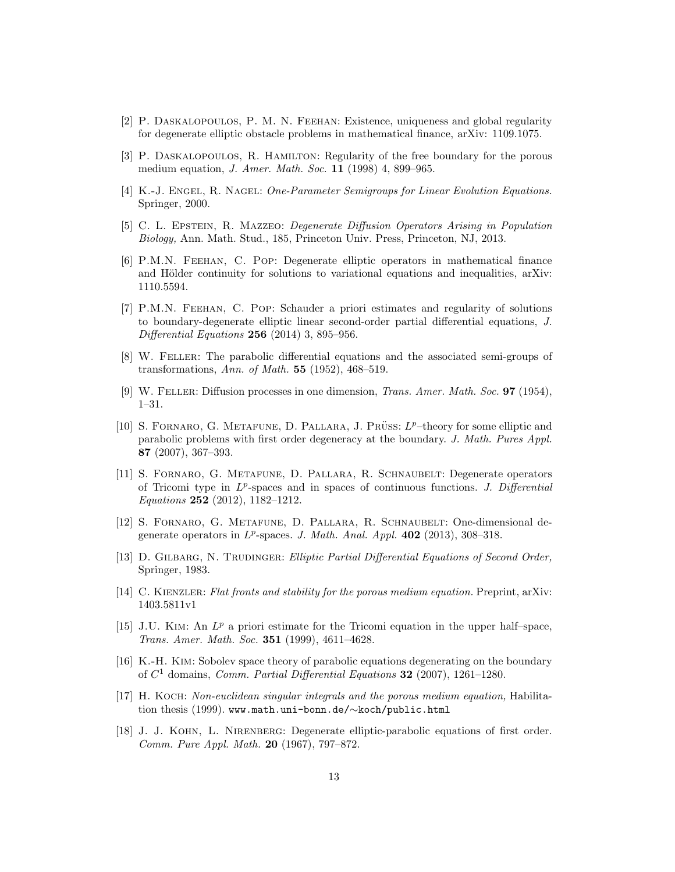- [2] P. Daskalopoulos, P. M. N. Feehan: Existence, uniqueness and global regularity for degenerate elliptic obstacle problems in mathematical finance, arXiv: 1109.1075.
- [3] P. Daskalopoulos, R. Hamilton: Regularity of the free boundary for the porous medium equation, J. Amer. Math. Soc. 11 (1998) 4, 899–965.
- [4] K.-J. ENGEL, R. NAGEL: One-Parameter Semigroups for Linear Evolution Equations. Springer, 2000.
- [5] C. L. Epstein, R. Mazzeo: Degenerate Diffusion Operators Arising in Population Biology, Ann. Math. Stud., 185, Princeton Univ. Press, Princeton, NJ, 2013.
- [6] P.M.N. Feehan, C. Pop: Degenerate elliptic operators in mathematical finance and Hölder continuity for solutions to variational equations and inequalities, arXiv: 1110.5594.
- [7] P.M.N. Feehan, C. Pop: Schauder a priori estimates and regularity of solutions to boundary-degenerate elliptic linear second-order partial differential equations, J. Differential Equations 256 (2014) 3, 895–956.
- [8] W. Feller: The parabolic differential equations and the associated semi-groups of transformations, Ann. of Math. 55 (1952), 468–519.
- [9] W. Feller: Diffusion processes in one dimension, Trans. Amer. Math. Soc. 97 (1954), 1–31.
- [10] S. FORNARO, G. METAFUNE, D. PALLARA, J. PRÜSS:  $L^p$ -theory for some elliptic and parabolic problems with first order degeneracy at the boundary. J. Math. Pures Appl. 87 (2007), 367–393.
- [11] S. Fornaro, G. Metafune, D. Pallara, R. Schnaubelt: Degenerate operators of Tricomi type in  $L^p$ -spaces and in spaces of continuous functions. J. Differential Equations 252 (2012), 1182–1212.
- [12] S. Fornaro, G. Metafune, D. Pallara, R. Schnaubelt: One-dimensional degenerate operators in  $L^p$ -spaces. J. Math. Anal. Appl. 402 (2013), 308-318.
- [13] D. GILBARG, N. TRUDINGER: Elliptic Partial Differential Equations of Second Order, Springer, 1983.
- [14] C. KIENZLER: Flat fronts and stability for the porous medium equation. Preprint, arXiv: 1403.5811v1
- [15] J.U. KIM: An  $L^p$  a priori estimate for the Tricomi equation in the upper half-space, Trans. Amer. Math. Soc. 351 (1999), 4611–4628.
- [16] K.-H. Kim: Sobolev space theory of parabolic equations degenerating on the boundary of  $C<sup>1</sup>$  domains, *Comm. Partial Differential Equations* 32 (2007), 1261-1280.
- [17] H. Koch: Non-euclidean singular integrals and the porous medium equation, Habilitation thesis (1999). www.math.uni-bonn.de/∼koch/public.html
- [18] J. J. Kohn, L. Nirenberg: Degenerate elliptic-parabolic equations of first order. Comm. Pure Appl. Math. 20 (1967), 797–872.